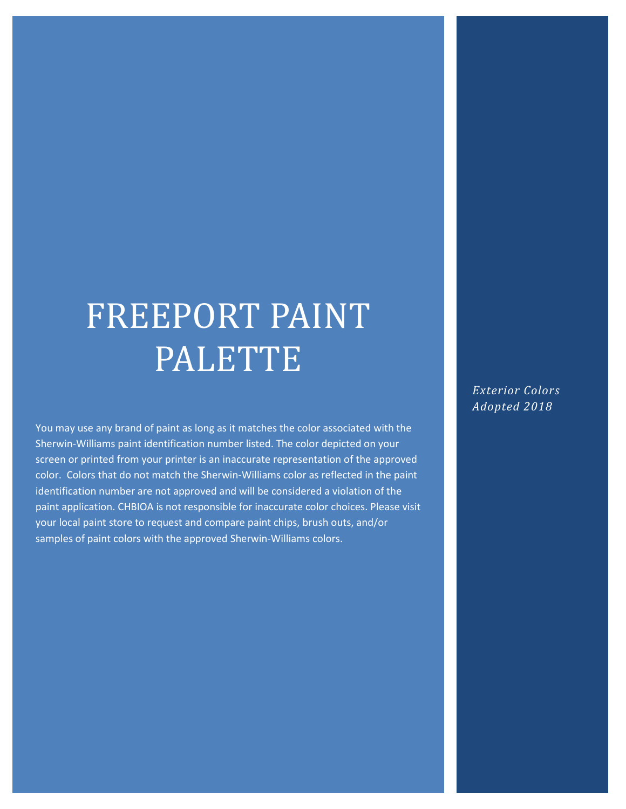# FREEPORT PAINT PALETTE

You may use any brand of paint as long as it matches the color associated with the Sherwin-Williams paint identification number listed. The color depicted on your screen or printed from your printer is an inaccurate representation of the approved color. Colors that do not match the Sherwin-Williams color as reflected in the paint identification number are not approved and will be considered a violation of the paint application. CHBIOA is not responsible for inaccurate color choices. Please visit your local paint store to request and compare paint chips, brush outs, and/or samples of paint colors with the approved Sherwin-Williams colors.

*Exterior Colors Adopted 2018*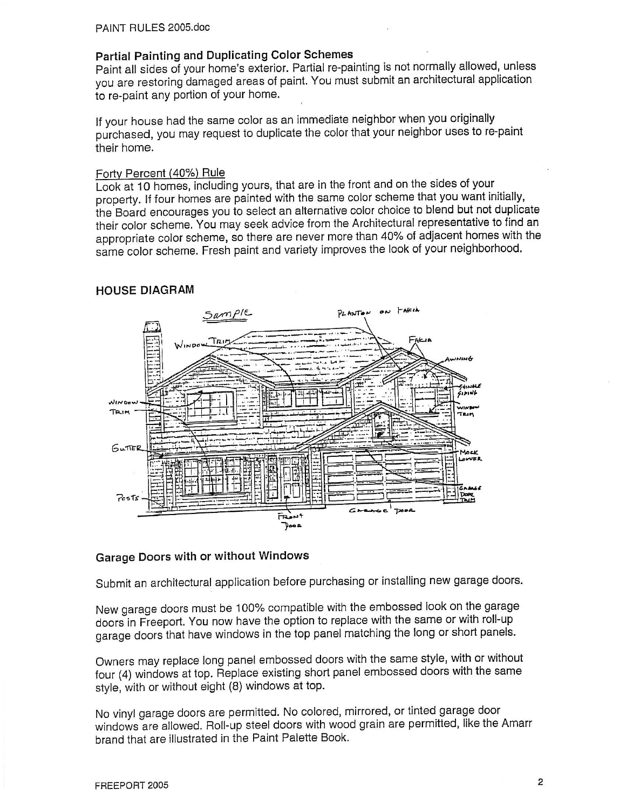#### **Partial Painting and Duplicating Color Schemes**

Paint all sides of your home's exterior. Partial re-painting is not normally allowed, unless you are restoring damaged areas of paint. You must submit an architectural application to re-paint any portion of your home.

If your house had the same color as an immediate neighbor when you originally purchased, you may request to duplicate the color that your neighbor uses to re-paint their home.

#### Forty Percent (40%) Rule

Look at 10 homes, including yours, that are in the front and on the sides of your property. If four homes are painted with the same color scheme that you want initially, the Board encourages you to select an alternative color choice to blend but not duplicate their color scheme. You may seek advice from the Architectural representative to find an appropriate color scheme, so there are never more than 40% of adjacent homes with the same color scheme. Fresh paint and variety improves the look of your neighborhood.

#### **HOUSE DIAGRAM**



#### **Garage Doors with or without Windows**

Submit an architectural application before purchasing or installing new garage doors.

New garage doors must be 100% compatible with the embossed look on the garage doors in Freeport. You now have the option to replace with the same or with roll-up garage doors that have windows in the top panel matching the long or short panels.

Owners may replace long panel embossed doors with the same style, with or without four (4) windows at top. Replace existing short panel embossed doors with the same style, with or without eight (8) windows at top.

No vinyl garage doors are permitted. No colored, mirrored, or tinted garage door windows are allowed. Roll-up steel doors with wood grain are permitted, like the Amarr brand that are illustrated in the Paint Palette Book.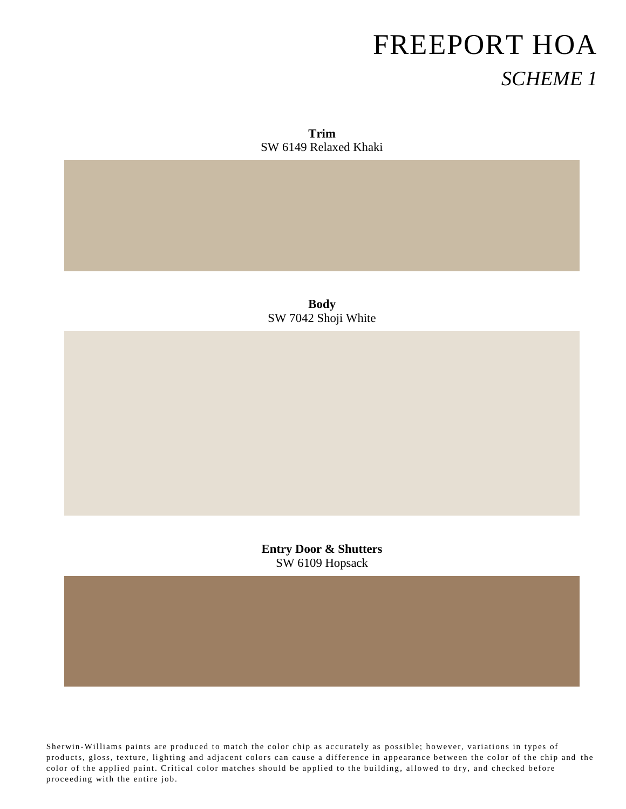**Trim** SW 6149 Relaxed Khaki

**Body** SW 7042 Shoji White

**Entry Door & Shutters** SW 6109 Hopsack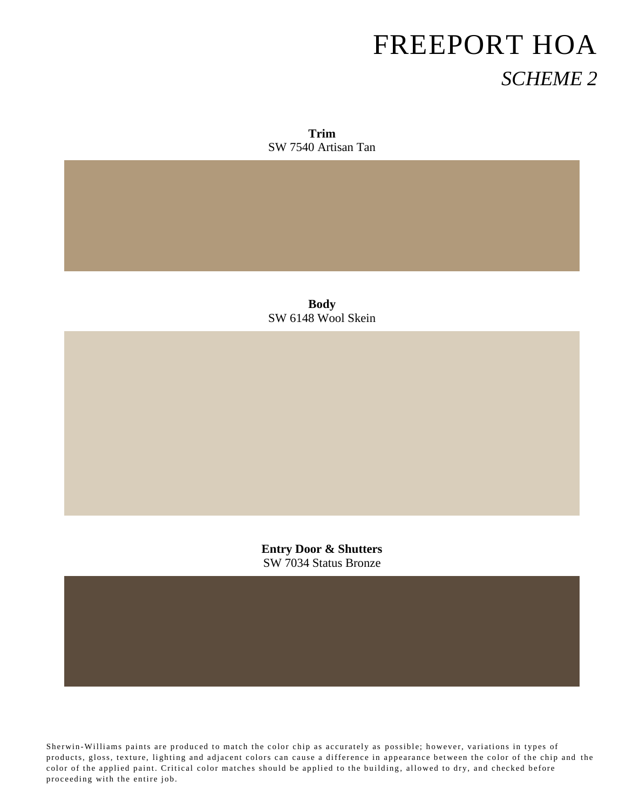**Trim** SW 7540 Artisan Tan

**Body** SW 6148 Wool Skein

**Entry Door & Shutters** SW 7034 Status Bronze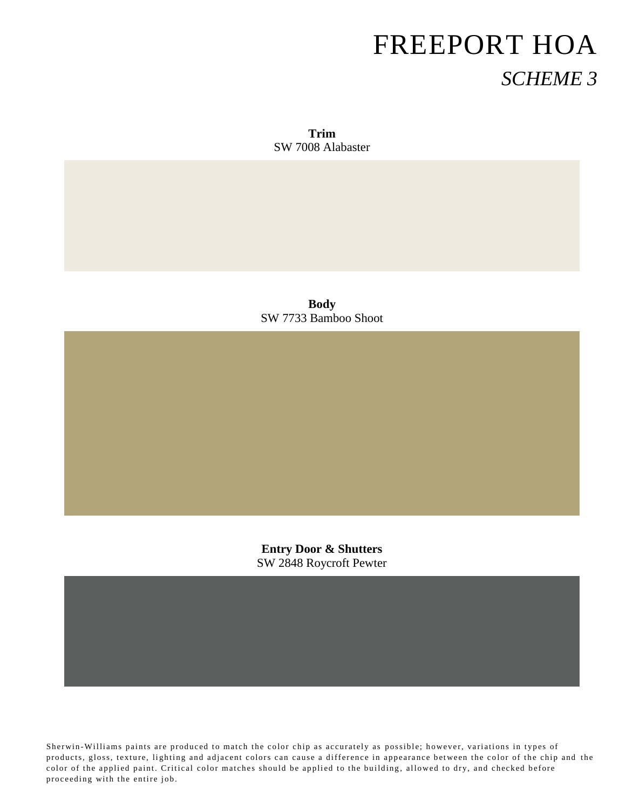**Trim** SW 7008 Alabaster

**Body** SW 7733 Bamboo Shoot

**Entry Door & Shutters** SW 2848 Roycroft Pewter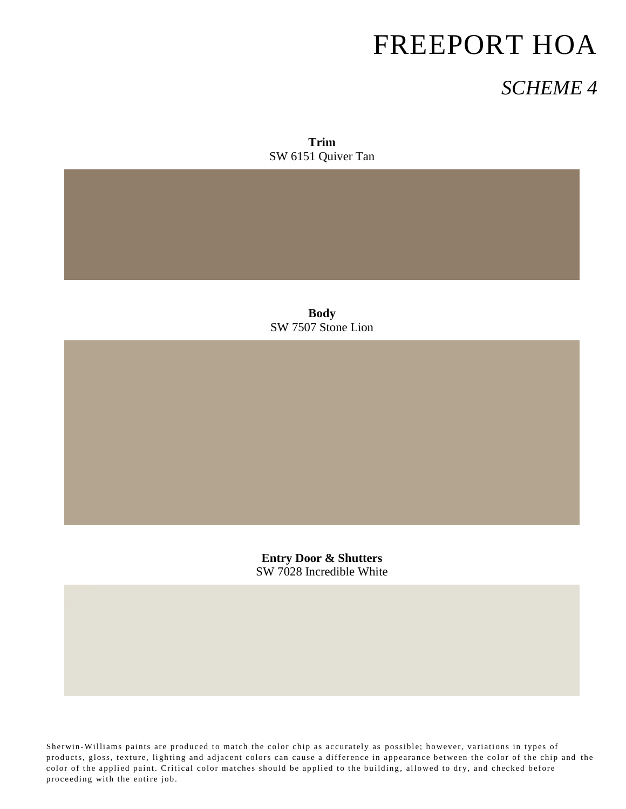### *SCHEME 4*

**Trim** SW 6151 Quiver Tan

**Body** SW 7507 Stone Lion

**Entry Door & Shutters** SW 7028 Incredible White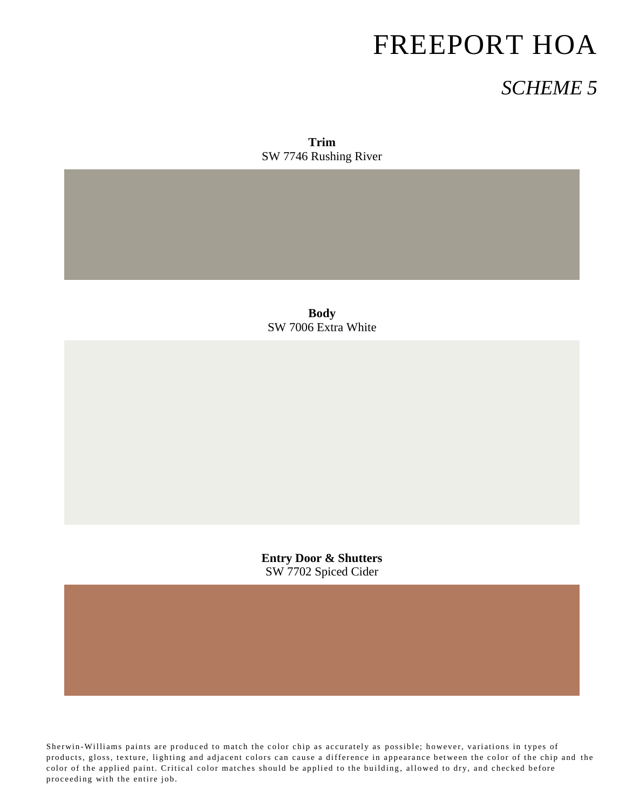### *SCHEME 5*

**Trim** SW 7746 Rushing River

**Body** SW 7006 Extra White

**Entry Door & Shutters** SW 7702 Spiced Cider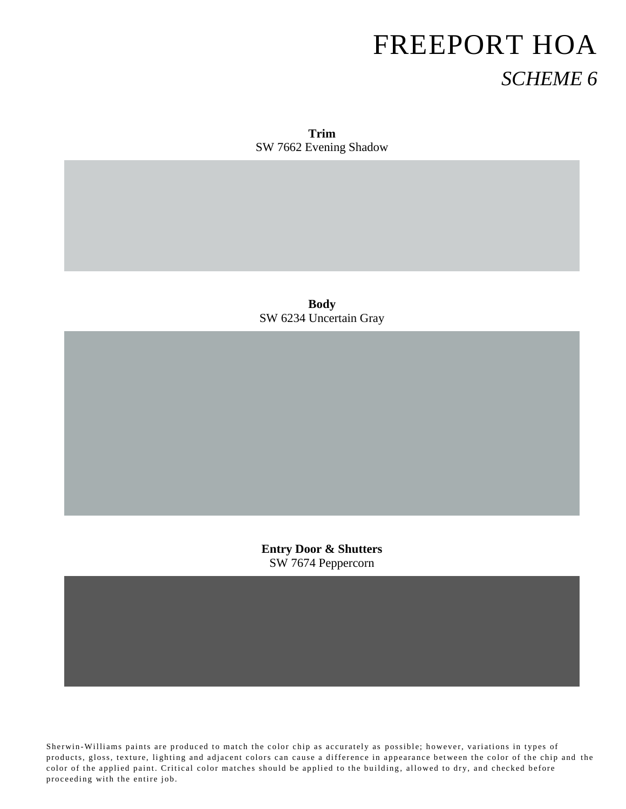**Trim** SW 7662 Evening Shadow

**Body** SW 6234 Uncertain Gray

**Entry Door & Shutters** SW 7674 Peppercorn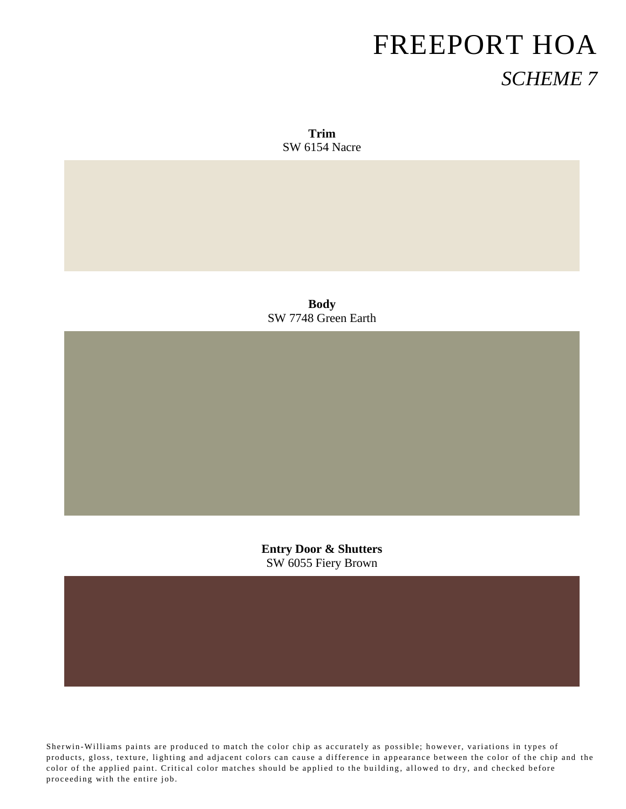**Trim** SW 6154 Nacre

**Body** SW 7748 Green Earth

**Entry Door & Shutters** SW 6055 Fiery Brown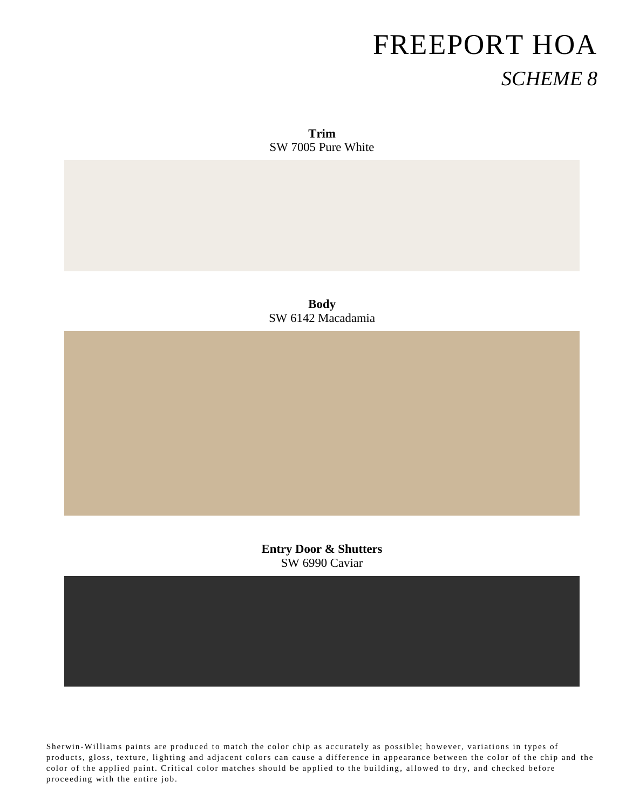**Trim** SW 7005 Pure White

**Body** SW 6142 Macadamia

**Entry Door & Shutters** SW 6990 Caviar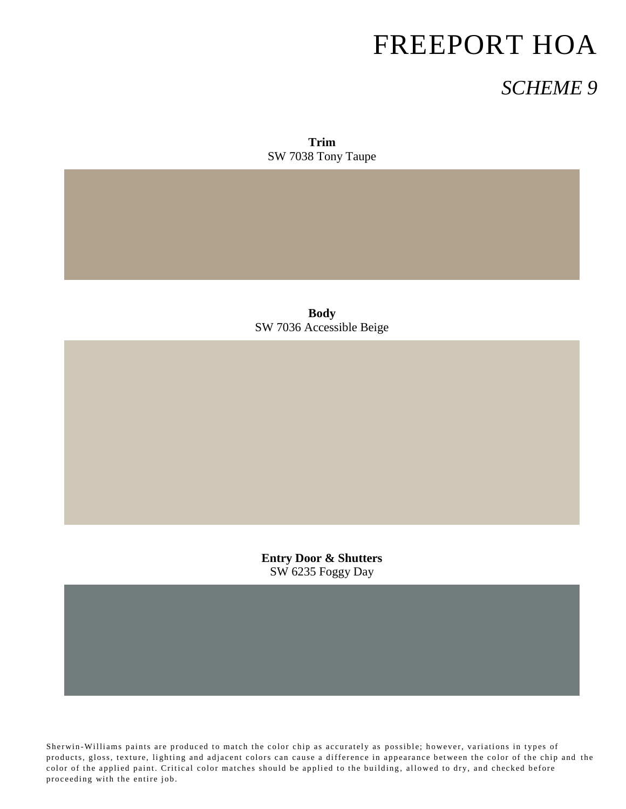### *SCHEME 9*

**Trim** SW 7038 Tony Taupe

**Body** SW 7036 Accessible Beige

**Entry Door & Shutters** SW 6235 Foggy Day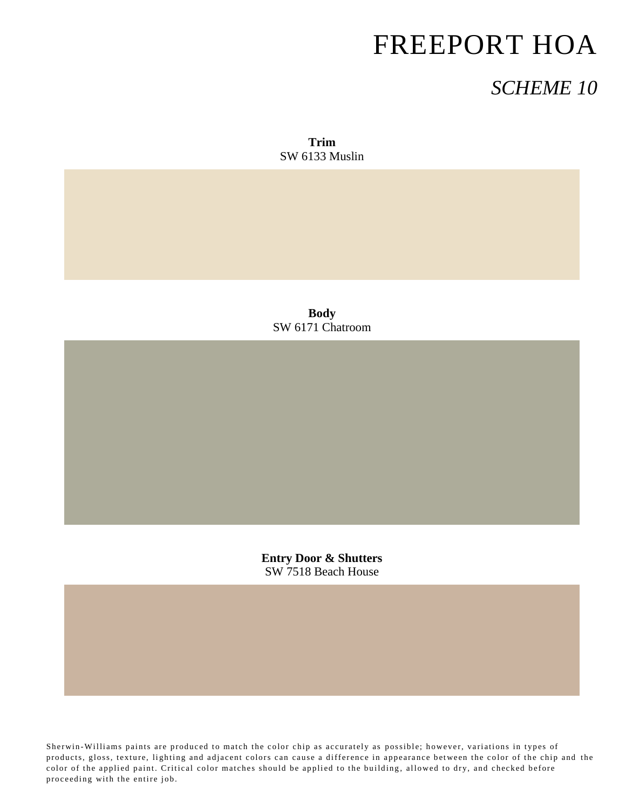### *SCHEME 10*

**Trim** SW 6133 Muslin

**Body** SW 6171 Chatroom

**Entry Door & Shutters** SW 7518 Beach House